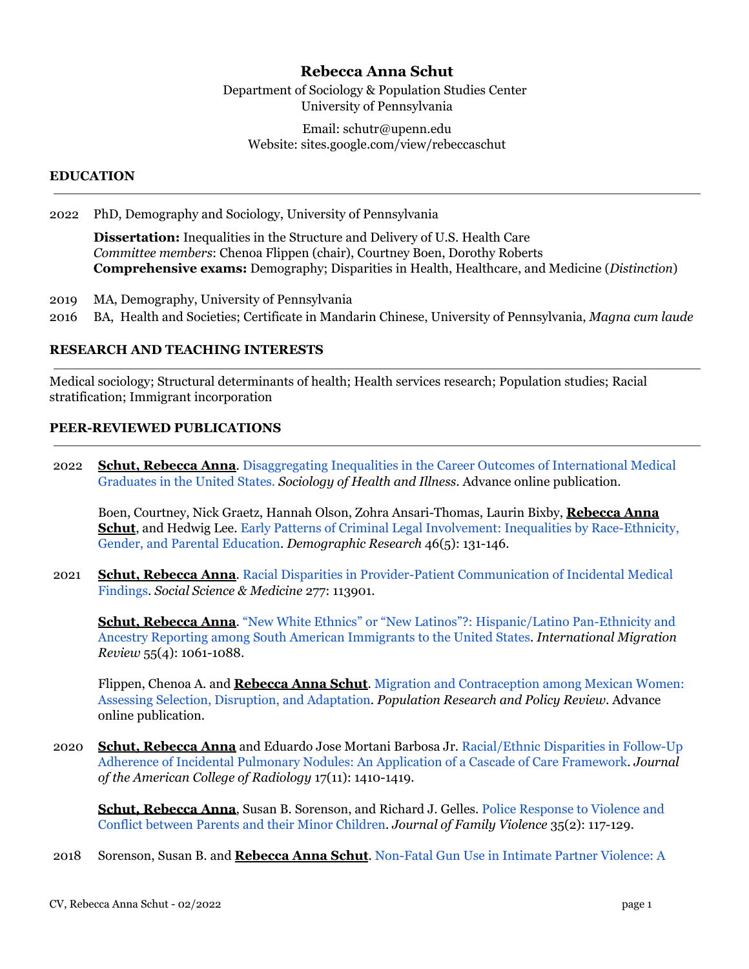# **Rebecca Anna Schut**

Department of Sociology & Population Studies Center University of Pennsylvania

Email: schutr@upenn.edu Website: sites.google.com/view/rebeccaschut

## **EDUCATION**

2022 PhD, Demography and Sociology, University of Pennsylvania

**Dissertation:** Inequalities in the Structure and Delivery of U.S. Health Care *Committee members*: Chenoa Flippen (chair), Courtney Boen, Dorothy Roberts **Comprehensive exams:** Demography; Disparities in Health, Healthcare, and Medicine (*Distinction*)

- 2019 MA, Demography, University of Pennsylvania
- 2016 BA, Health and Societies; Certificate in Mandarin Chinese, University of Pennsylvania, *Magna cum laude*

## **RESEARCH AND TEACHING INTERESTS**

Medical sociology; Structural determinants of health; Health services research; Population studies; Racial stratification; Immigrant incorporation

### **PEER-REVIEWED PUBLICATIONS**

2022 **Schut, Rebecca Anna.** Disaggregating Inequalities in [the Career Outcomes of International Medical](https://onlinelibrary.wiley.com/doi/10.1111/1467-9566.13433) [Graduates in the United States.](https://onlinelibrary.wiley.com/doi/10.1111/1467-9566.13433) *Sociology of Health and Illness*. Advance online publication.

Boen, Courtney, Nick Graetz, Hannah Olson, Zohra Ansari-Thomas, Laurin Bixby, **Rebecca Anna Schut**, and Hedwig Lee. Early Patterns of Criminal [Legal Involvement: Inequalities by Race-Ethnicity,](https://www.demographic-research.org/volumes/vol46/5/46-5.pdf) [Gender, and Parental Education](https://www.demographic-research.org/volumes/vol46/5/46-5.pdf). *Demographic Research* 46(5): 131-146.

2021 **Schut, Rebecca Anna**. Racial Disparities in Provider-Patient [Communication of Incidental Medical](https://www.sciencedirect.com/science/article/pii/S0277953621002331) [Findings](https://www.sciencedirect.com/science/article/pii/S0277953621002331). *Social Science & Medicine* 277: 113901.

**Schut, Rebecca Anna**. ["New White Ethnics" or "New Latinos"?:](https://journals.sagepub.com/doi/full/10.1177/0197918321993100) Hispanic/Latino Pan-Ethnicity and [Ancestry Reporting among South American Immigrants to the United States.](https://journals.sagepub.com/doi/full/10.1177/0197918321993100) *International Migration Review* 55(4): 1061-1088.

Flippen, Chenoa A. and **Rebecca Anna Schut**. Migration [and Contraception among Mexican Women:](https://link.springer.com/article/10.1007/s11113-021-09661-8) [Assessing Selection, Disruption, and Adaptation](https://link.springer.com/article/10.1007/s11113-021-09661-8). *Population Research and Policy Review*. Advance online publication.

2020 **Schut, Rebecca Anna** and Eduardo Jose Mortani Barbosa Jr. [Racial/Ethnic Disparities in Follow-Up](https://www.sciencedirect.com/science/article/pii/S1546144020307778) [Adherence of Incidental Pulmonary Nodules: An Application of a Cascade of Care Framework.](https://www.sciencedirect.com/science/article/pii/S1546144020307778) *Journal of the American College of Radiology* 17(11): 1410-1419.

**Schut, Rebecca Anna**, Susan B. Sorenson, and Richard J. Gelles. [Police Response to Violence and](https://link.springer.com/article/10.1007/s10896-019-00088-6) [Conflict between Parents and their Minor Children](https://link.springer.com/article/10.1007/s10896-019-00088-6). *Journal of Family Violence* 35(2): 117-129.

2018 Sorenson, Susan B. and **Rebecca Anna Schut**. Non-Fatal [Gun Use in Intimate Partner Violence: A](https://journals.sagepub.com/doi/full/10.1177/1524838016668589)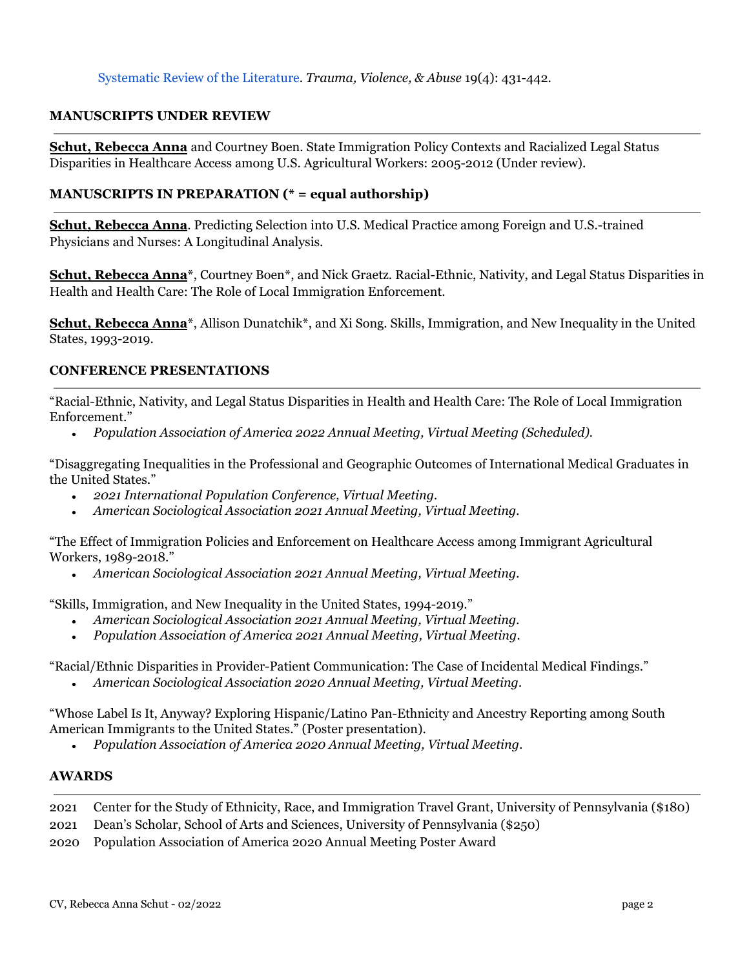#### **MANUSCRIPTS UNDER REVIEW**

**Schut, Rebecca Anna** and Courtney Boen. State Immigration Policy Contexts and Racialized Legal Status Disparities in Healthcare Access among U.S. Agricultural Workers: 2005-2012 (Under review).

#### **MANUSCRIPTS IN PREPARATION (\* = equal authorship)**

**Schut, Rebecca Anna**. Predicting Selection into U.S. Medical Practice among Foreign and U.S.-trained Physicians and Nurses: A Longitudinal Analysis.

**Schut, Rebecca Anna**\*, Courtney Boen\*, and Nick Graetz. Racial-Ethnic, Nativity, and Legal Status Disparities in Health and Health Care: The Role of Local Immigration Enforcement.

**Schut, Rebecca Anna**<sup>\*</sup>, Allison Dunatchik<sup>\*</sup>, and Xi Song. Skills, Immigration, and New Inequality in the United States, 1993-2019.

#### **CONFERENCE PRESENTATIONS**

"Racial-Ethnic, Nativity, and Legal Status Disparities in Health and Health Care: The Role of Local Immigration Enforcement."

*● Population Association of America 2022 Annual Meeting, Virtual Meeting (Scheduled).*

"Disaggregating Inequalities in the Professional and Geographic Outcomes of International Medical Graduates in the United States."

- *● 2021 International Population Conference, Virtual Meeting.*
- *● American Sociological Association 2021 Annual Meeting, Virtual Meeting.*

"The Effect of Immigration Policies and Enforcement on Healthcare Access among Immigrant Agricultural Workers, 1989-2018."

*● American Sociological Association 2021 Annual Meeting, Virtual Meeting.*

"Skills, Immigration, and New Inequality in the United States, 1994-2019."

- *● American Sociological Association 2021 Annual Meeting, Virtual Meeting.*
- *● Population Association of America 2021 Annual Meeting, Virtual Meeting.*

"Racial/Ethnic Disparities in Provider-Patient Communication: The Case of Incidental Medical Findings."

*● American Sociological Association 2020 Annual Meeting, Virtual Meeting.*

"Whose Label Is It, Anyway? Exploring Hispanic/Latino Pan-Ethnicity and Ancestry Reporting among South American Immigrants to the United States." (Poster presentation).

*● Population Association of America 2020 Annual Meeting, Virtual Meeting.*

#### **AWARDS**

- 2021 Center for the Study of Ethnicity, Race, and Immigration Travel Grant, University of Pennsylvania (\$180)
- 2021 Dean's Scholar, School of Arts and Sciences, University of Pennsylvania (\$250)
- 2020 Population Association of America 2020 Annual Meeting Poster Award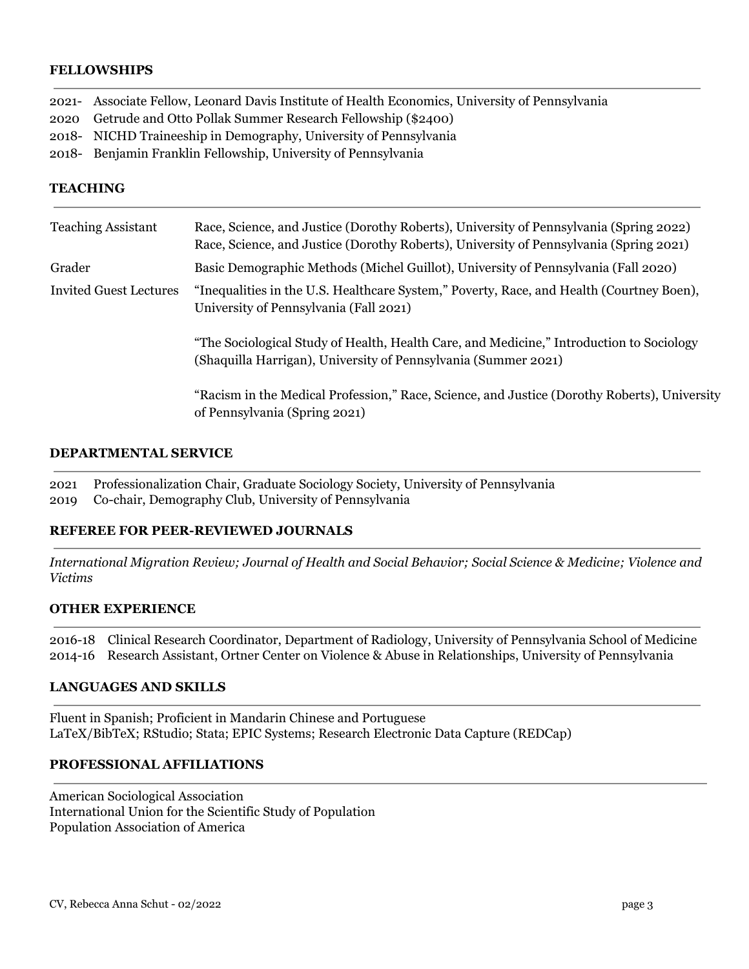## **FELLOWSHIPS**

2021- Associate Fellow, Leonard Davis Institute of Health Economics, University of Pennsylvania

2020 Getrude and Otto Pollak Summer Research Fellowship (\$2400)

- 2018- NICHD Traineeship in Demography, University of Pennsylvania
- 2018- Benjamin Franklin Fellowship, University of Pennsylvania

## **TEACHING**

| <b>Teaching Assistant</b>     | Race, Science, and Justice (Dorothy Roberts), University of Pennsylvania (Spring 2022)<br>Race, Science, and Justice (Dorothy Roberts), University of Pennsylvania (Spring 2021) |
|-------------------------------|----------------------------------------------------------------------------------------------------------------------------------------------------------------------------------|
| Grader                        | Basic Demographic Methods (Michel Guillot), University of Pennsylvania (Fall 2020)                                                                                               |
| <b>Invited Guest Lectures</b> | "Inequalities in the U.S. Healthcare System," Poverty, Race, and Health (Courtney Boen),<br>University of Pennsylvania (Fall 2021)                                               |
|                               | "The Sociological Study of Health, Health Care, and Medicine," Introduction to Sociology<br>(Shaquilla Harrigan), University of Pennsylvania (Summer 2021)                       |
|                               | "Racism in the Medical Profession," Race, Science, and Justice (Dorothy Roberts), University<br>of Pennsylvania (Spring 2021)                                                    |

#### **DEPARTMENTAL SERVICE**

2021 Professionalization Chair, Graduate Sociology Society, University of Pennsylvania 2019 Co-chair, Demography Club, University of Pennsylvania

### **REFEREE FOR PEER-REVIEWED JOURNALS**

*International Migration Review; Journal of Health and Social Behavior; Social Science & Medicine; Violence and Victims*

### **OTHER EXPERIENCE**

2016-18 Clinical Research Coordinator, Department of Radiology, University of Pennsylvania School of Medicine 2014-16 Research Assistant, Ortner Center on Violence & Abuse in Relationships, University of Pennsylvania

# **LANGUAGES AND SKILLS**

Fluent in Spanish; Proficient in Mandarin Chinese and Portuguese LaTeX/BibTeX; RStudio; Stata; EPIC Systems; Research Electronic Data Capture (REDCap)

#### **PROFESSIONAL AFFILIATIONS**

American Sociological Association International Union for the Scientific Study of Population Population Association of America